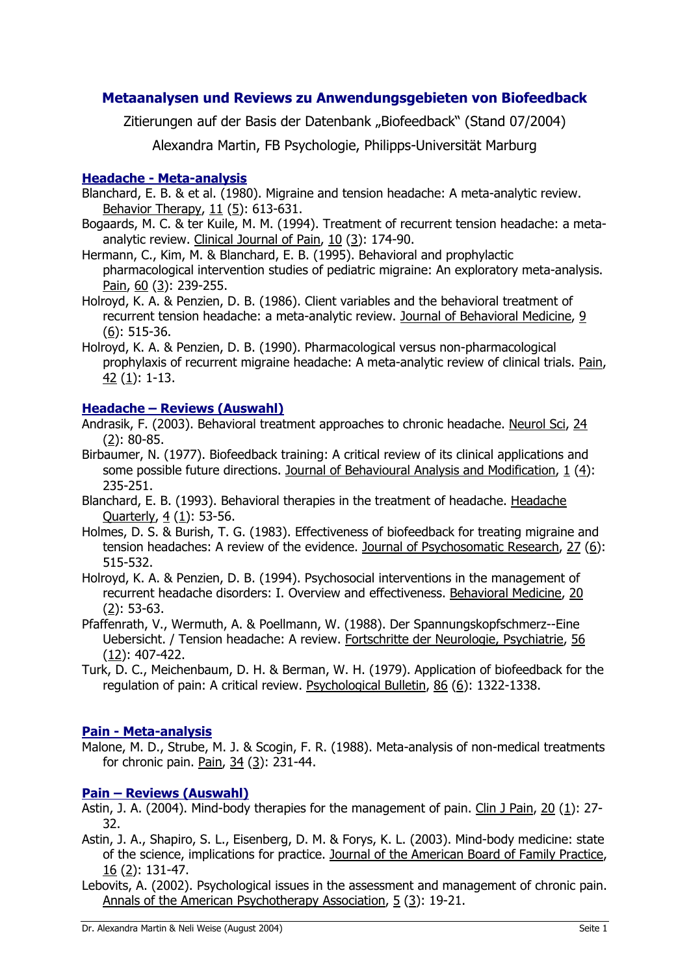# **Metaanalysen und Reviews zu Anwendungsgebieten von Biofeedback**

Zitierungen auf der Basis der Datenbank "Biofeedback" (Stand 07/2004)

Alexandra Martin, FB Psychologie, Philipps-Universität Marburg

# **Headache - Meta-analysis**

Blanchard, E. B. & et al. (1980). Migraine and tension headache: A meta-analytic review. Behavior Therapy, 11 (5): 613-631.

- Bogaards, M. C. & ter Kuile, M. M. (1994). Treatment of recurrent tension headache: a metaanalytic review. Clinical Journal of Pain, 10 (3): 174-90.
- Hermann, C., Kim, M. & Blanchard, E. B. (1995). Behavioral and prophylactic pharmacological intervention studies of pediatric migraine: An exploratory meta-analysis. Pain, 60 (3): 239-255.
- Holroyd, K. A. & Penzien, D. B. (1986). Client variables and the behavioral treatment of recurrent tension headache: a meta-analytic review. Journal of Behavioral Medicine, 9 (6): 515-36.
- Holroyd, K. A. & Penzien, D. B. (1990). Pharmacological versus non-pharmacological prophylaxis of recurrent migraine headache: A meta-analytic review of clinical trials. Pain, 42 (1): 1-13.

# **Headache – Reviews (Auswahl)**

Andrasik, F. (2003). Behavioral treatment approaches to chronic headache. Neurol Sci, 24 (2): 80-85.

- Birbaumer, N. (1977). Biofeedback training: A critical review of its clinical applications and some possible future directions. Journal of Behavioural Analysis and Modification, 1 (4): 235-251.
- Blanchard, E. B. (1993). Behavioral therapies in the treatment of headache. Headache Quarterly, 4 (1): 53-56.
- Holmes, D. S. & Burish, T. G. (1983). Effectiveness of biofeedback for treating migraine and tension headaches: A review of the evidence. Journal of Psychosomatic Research, 27 (6): 515-532.
- Holroyd, K. A. & Penzien, D. B. (1994). Psychosocial interventions in the management of recurrent headache disorders: I. Overview and effectiveness. Behavioral Medicine, 20 (2): 53-63.
- Pfaffenrath, V., Wermuth, A. & Poellmann, W. (1988). Der Spannungskopfschmerz--Eine Uebersicht. / Tension headache: A review. Fortschritte der Neurologie, Psychiatrie, 56 (12): 407-422.
- Turk, D. C., Meichenbaum, D. H. & Berman, W. H. (1979). Application of biofeedback for the regulation of pain: A critical review. Psychological Bulletin, 86 (6): 1322-1338.

# **Pain - Meta-analysis**

Malone, M. D., Strube, M. J. & Scogin, F. R. (1988). Meta-analysis of non-medical treatments for chronic pain. Pain, 34 (3): 231-44.

# **Pain – Reviews (Auswahl)**

- Astin, J. A. (2004). Mind-body therapies for the management of pain. Clin J Pain, 20 (1): 27- 32.
- Astin, J. A., Shapiro, S. L., Eisenberg, D. M. & Forys, K. L. (2003). Mind-body medicine: state of the science, implications for practice. Journal of the American Board of Family Practice, 16 (2): 131-47.
- Lebovits, A. (2002). Psychological issues in the assessment and management of chronic pain. Annals of the American Psychotherapy Association, 5 (3): 19-21.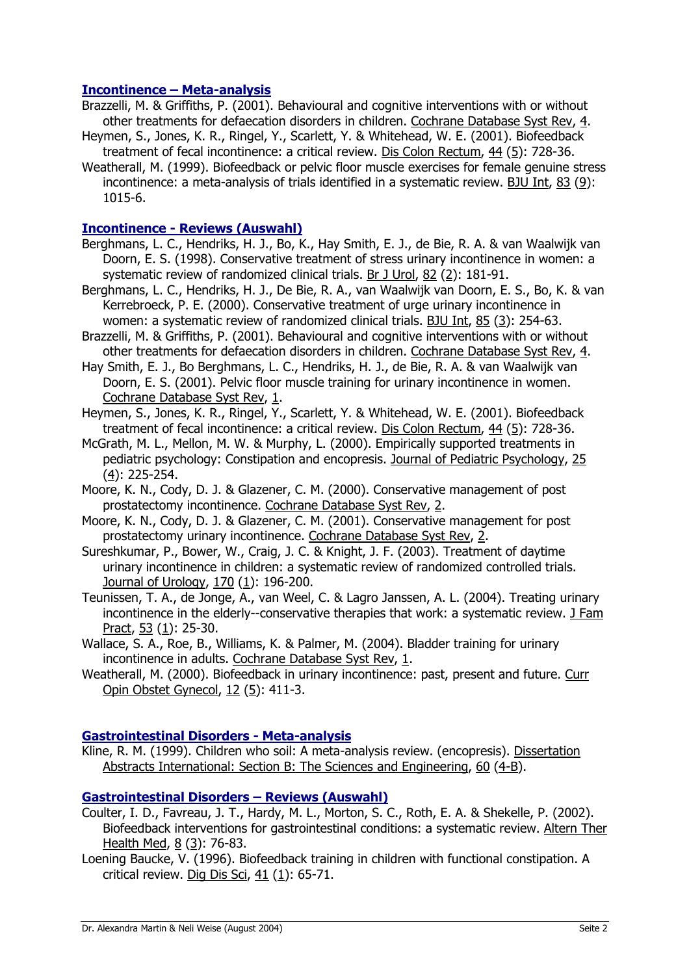### **Incontinence – Meta-analysis**

- Brazzelli, M. & Griffiths, P. (2001). Behavioural and cognitive interventions with or without other treatments for defaecation disorders in children. Cochrane Database Syst Rev, 4.
- Heymen, S., Jones, K. R., Ringel, Y., Scarlett, Y. & Whitehead, W. E. (2001). Biofeedback treatment of fecal incontinence: a critical review. Dis Colon Rectum, 44 (5): 728-36.
- Weatherall, M. (1999). Biofeedback or pelvic floor muscle exercises for female genuine stress incontinence: a meta-analysis of trials identified in a systematic review. BJU Int, 83 (9): 1015-6.

### **Incontinence - Reviews (Auswahl)**

- Berghmans, L. C., Hendriks, H. J., Bo, K., Hay Smith, E. J., de Bie, R. A. & van Waalwijk van Doorn, E. S. (1998). Conservative treatment of stress urinary incontinence in women: a systematic review of randomized clinical trials. Br J Urol, 82 (2): 181-91.
- Berghmans, L. C., Hendriks, H. J., De Bie, R. A., van Waalwijk van Doorn, E. S., Bo, K. & van Kerrebroeck, P. E. (2000). Conservative treatment of urge urinary incontinence in women: a systematic review of randomized clinical trials. BJU Int, 85 (3): 254-63.
- Brazzelli, M. & Griffiths, P. (2001). Behavioural and cognitive interventions with or without other treatments for defaecation disorders in children. Cochrane Database Syst Rev, 4.
- Hay Smith, E. J., Bo Berghmans, L. C., Hendriks, H. J., de Bie, R. A. & van Waalwijk van Doorn, E. S. (2001). Pelvic floor muscle training for urinary incontinence in women. Cochrane Database Syst Rev, 1.
- Heymen, S., Jones, K. R., Ringel, Y., Scarlett, Y. & Whitehead, W. E. (2001). Biofeedback treatment of fecal incontinence: a critical review. Dis Colon Rectum, 44 (5): 728-36.
- McGrath, M. L., Mellon, M. W. & Murphy, L. (2000). Empirically supported treatments in pediatric psychology: Constipation and encopresis. Journal of Pediatric Psychology, 25 (4): 225-254.
- Moore, K. N., Cody, D. J. & Glazener, C. M. (2000). Conservative management of post prostatectomy incontinence. Cochrane Database Syst Rev, 2.
- Moore, K. N., Cody, D. J. & Glazener, C. M. (2001). Conservative management for post prostatectomy urinary incontinence. Cochrane Database Syst Rev, 2.
- Sureshkumar, P., Bower, W., Craig, J. C. & Knight, J. F. (2003). Treatment of daytime urinary incontinence in children: a systematic review of randomized controlled trials. Journal of Urology, 170 (1): 196-200.
- Teunissen, T. A., de Jonge, A., van Weel, C. & Lagro Janssen, A. L. (2004). Treating urinary incontinence in the elderly--conservative therapies that work: a systematic review. J Fam Pract, 53 (1): 25-30.
- Wallace, S. A., Roe, B., Williams, K. & Palmer, M. (2004). Bladder training for urinary incontinence in adults. Cochrane Database Syst Rev, 1.
- Weatherall, M. (2000). Biofeedback in urinary incontinence: past, present and future. Curr Opin Obstet Gynecol, 12 (5): 411-3.

### **Gastrointestinal Disorders - Meta-analysis**

Kline, R. M. (1999). Children who soil: A meta-analysis review. (encopresis). Dissertation Abstracts International: Section B: The Sciences and Engineering, 60 (4-B).

### **Gastrointestinal Disorders – Reviews (Auswahl)**

- Coulter, I. D., Favreau, J. T., Hardy, M. L., Morton, S. C., Roth, E. A. & Shekelle, P. (2002). Biofeedback interventions for gastrointestinal conditions: a systematic review. Altern Ther Health Med, 8 (3): 76-83.
- Loening Baucke, V. (1996). Biofeedback training in children with functional constipation. A critical review. Dig Dis Sci, 41 (1): 65-71.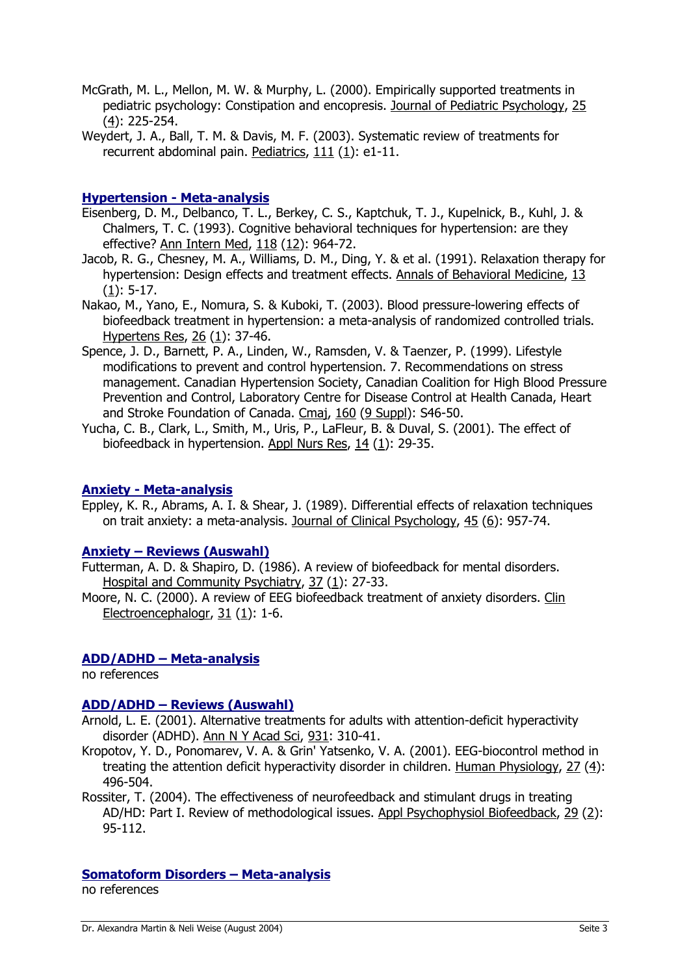- McGrath, M. L., Mellon, M. W. & Murphy, L. (2000). Empirically supported treatments in pediatric psychology: Constipation and encopresis. Journal of Pediatric Psychology, 25 (4): 225-254.
- Weydert, J. A., Ball, T. M. & Davis, M. F. (2003). Systematic review of treatments for recurrent abdominal pain. Pediatrics, 111 (1): e1-11.

### **Hypertension - Meta-analysis**

- Eisenberg, D. M., Delbanco, T. L., Berkey, C. S., Kaptchuk, T. J., Kupelnick, B., Kuhl, J. & Chalmers, T. C. (1993). Cognitive behavioral techniques for hypertension: are they effective? Ann Intern Med, 118 (12): 964-72.
- Jacob, R. G., Chesney, M. A., Williams, D. M., Ding, Y. & et al. (1991). Relaxation therapy for hypertension: Design effects and treatment effects. Annals of Behavioral Medicine, 13 (1): 5-17.
- Nakao, M., Yano, E., Nomura, S. & Kuboki, T. (2003). Blood pressure-lowering effects of biofeedback treatment in hypertension: a meta-analysis of randomized controlled trials. Hypertens Res, 26 (1): 37-46.
- Spence, J. D., Barnett, P. A., Linden, W., Ramsden, V. & Taenzer, P. (1999). Lifestyle modifications to prevent and control hypertension. 7. Recommendations on stress management. Canadian Hypertension Society, Canadian Coalition for High Blood Pressure Prevention and Control, Laboratory Centre for Disease Control at Health Canada, Heart and Stroke Foundation of Canada. Cmaj, 160 (9 Suppl): S46-50.
- Yucha, C. B., Clark, L., Smith, M., Uris, P., LaFleur, B. & Duval, S. (2001). The effect of biofeedback in hypertension. Appl Nurs Res, 14 (1): 29-35.

### **Anxiety - Meta-analysis**

Eppley, K. R., Abrams, A. I. & Shear, J. (1989). Differential effects of relaxation techniques on trait anxiety: a meta-analysis. Journal of Clinical Psychology, 45 (6): 957-74.

### **Anxiety – Reviews (Auswahl)**

- Futterman, A. D. & Shapiro, D. (1986). A review of biofeedback for mental disorders. Hospital and Community Psychiatry, 37 (1): 27-33.
- Moore, N. C. (2000). A review of EEG biofeedback treatment of anxiety disorders. Clin Electroencephalogr, 31 (1): 1-6.

### **ADD/ADHD – Meta-analysis**

no references

# **ADD/ADHD – Reviews (Auswahl)**

- Arnold, L. E. (2001). Alternative treatments for adults with attention-deficit hyperactivity disorder (ADHD). Ann N Y Acad Sci, 931: 310-41.
- Kropotov, Y. D., Ponomarev, V. A. & Grin' Yatsenko, V. A. (2001). EEG-biocontrol method in treating the attention deficit hyperactivity disorder in children. Human Physiology, 27 (4): 496-504.
- Rossiter, T. (2004). The effectiveness of neurofeedback and stimulant drugs in treating AD/HD: Part I. Review of methodological issues. Appl Psychophysiol Biofeedback, 29 (2): 95-112.

### **Somatoform Disorders – Meta-analysis**

no references